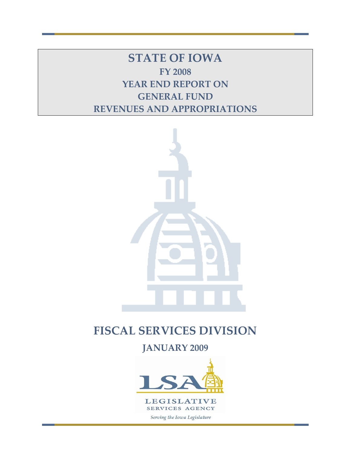**STATE OF IOWA FY 2008 YEAR END REPORT ON GENERAL FUND REVENUES AND APPROPRIATIONS**



# **FISCAL SERVICES DIVISION**

**JANUARY 2009**

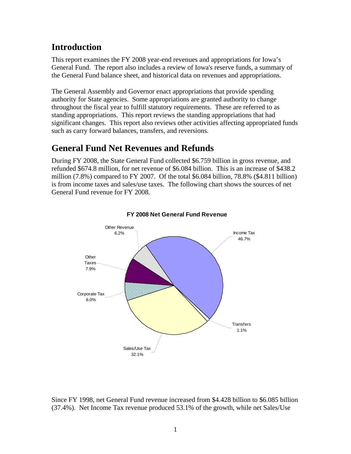## **Introduction**

This report examines the FY 2008 year-end revenues and appropriations for Iowa's General Fund. The report also includes a review of Iowa's reserve funds, a summary of the General Fund balance sheet, and historical data on revenues and appropriations.

The General Assembly and Governor enact appropriations that provide spending authority for State agencies. Some appropriations are granted authority to change throughout the fiscal year to fulfill statutory requirements. These are referred to as standing appropriations. This report reviews the standing appropriations that had significant changes. This report also reviews other activities affecting appropriated funds such as carry forward balances, transfers, and reversions.

## **General Fund Net Revenues and Refunds**

During FY 2008, the State General Fund collected \$6.759 billion in gross revenue, and refunded \$674.8 million, for net revenue of \$6.084 billion. This is an increase of \$438.2 million (7.8%) compared to FY 2007. Of the total \$6.084 billion, 78.8% (\$4.811 billion) is from income taxes and sales/use taxes. The following chart shows the sources of net General Fund revenue for FY 2008.



#### **FY 2008 Net General Fund Revenue**

Since FY 1998, net General Fund revenue increased from \$4.428 billion to \$6.085 billion (37.4%). Net Income Tax revenue produced 53.1% of the growth, while net Sales/Use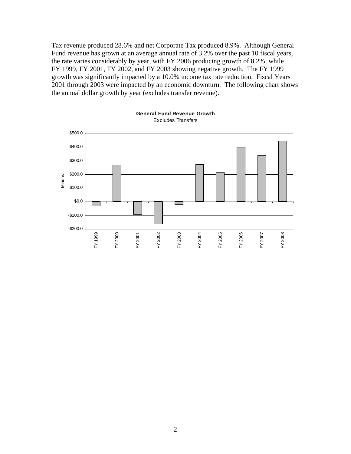Tax revenue produced 28.6% and net Corporate Tax produced 8.9%. Although General Fund revenue has grown at an average annual rate of 3.2% over the past 10 fiscal years, the rate varies considerably by year, with FY 2006 producing growth of 8.2%, while FY 1999, FY 2001, FY 2002, and FY 2003 showing negative growth. The FY 1999 growth was significantly impacted by a 10.0% income tax rate reduction. Fiscal Years 2001 through 2003 were impacted by an economic downturn. The following chart shows the annual dollar growth by year (excludes transfer revenue).



**General Fund Revenue Growth** Excludes Transfers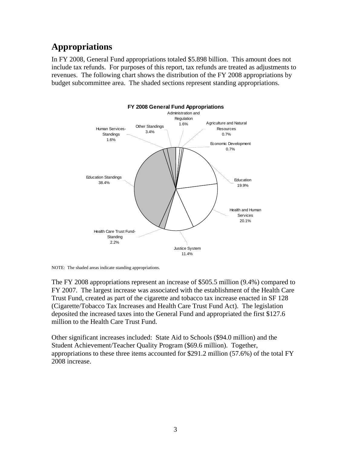## **Appropriations**

In FY 2008, General Fund appropriations totaled \$5.898 billion. This amount does not include tax refunds. For purposes of this report, tax refunds are treated as adjustments to revenues. The following chart shows the distribution of the FY 2008 appropriations by budget subcommittee area. The shaded sections represent standing appropriations.



NOTE: The shaded areas indicate standing appropriations.

The FY 2008 appropriations represent an increase of \$505.5 million (9.4%) compared to FY 2007. The largest increase was associated with the establishment of the Health Care Trust Fund, created as part of the cigarette and tobacco tax increase enacted in SF 128 (Cigarette/Tobacco Tax Increases and Health Care Trust Fund Act). The legislation deposited the increased taxes into the General Fund and appropriated the first \$127.6 million to the Health Care Trust Fund.

Other significant increases included: State Aid to Schools (\$94.0 million) and the Student Achievement/Teacher Quality Program (\$69.6 million). Together, appropriations to these three items accounted for \$291.2 million (57.6%) of the total FY 2008 increase.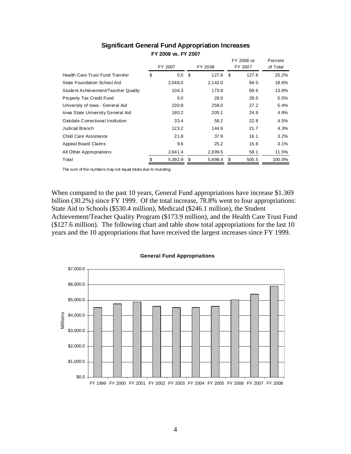|                                     |               |    |         | FY 2008 vs  | Percent  |
|-------------------------------------|---------------|----|---------|-------------|----------|
|                                     | FY 2007       |    | FY 2008 | FY 2007     | of Total |
| Health Care Trust Fund Transfer     | \$<br>$0.0\,$ | \$ | 127.6   | \$<br>127.6 | 25.2%    |
| State Foundation School Aid         | 2,048.0       |    | 2,142.0 | 94.0        | 18.6%    |
| Student Achievement/Teacher Quality | 104.3         |    | 173.9   | 69.6        | 13.8%    |
| Property Tax Credit Fund            | 0.0           |    | 28.0    | 28.0        | 5.5%     |
| University of Iowa - General Aid    | 230.8         |    | 258.0   | 27.2        | 5.4%     |
| Iowa State University General Aid   | 180.2         |    | 205.1   | 24.9        | 4.9%     |
| Oakdale Correctional Institution    | 33.4          |    | 56.2    | 22.8        | 4.5%     |
| <b>Judicial Branch</b>              | 123.2         |    | 144.9   | 21.7        | 4.3%     |
| Child Care Assistance               | 21.8          |    | 37.9    | 16.1        | 3.2%     |
| Appeal Board Claims                 | 9.6           |    | 25.2    | 15.6        | 3.1%     |
| All Other Appropriations            | 2,641.4       |    | 2,699.5 | 58.1        | 11.5%    |
| Total                               | \$<br>5,392.9 | \$ | 5,898.4 | \$<br>505.5 | 100.0%   |

#### **Significant General Fund Appropriation Increases FY 2008 vs. FY 2007**

The sum of the numbers may not equal totals due to rounding.

When compared to the past 10 years, General Fund appropriations have increase \$1.369 billion (30.2%) since FY 1999. Of the total increase, 78.8% went to four appropriations: State Aid to Schools (\$530.4 million), Medicaid (\$246.1 million), the Student Achievement/Teacher Quality Program (\$173.9 million), and the Health Care Trust Fund (\$127.6 million). The following chart and table show total appropriations for the last 10 years and the 10 appropriations that have received the largest increases since FY 1999.



**General Fund Appropriations**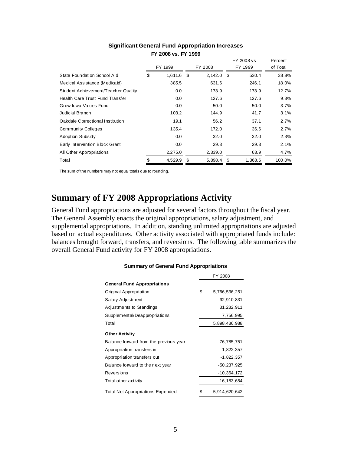|                                     | FY 1999 |              | FY 2008       | FY 2008 vs<br>FY 1999 | Percent<br>of Total |  |  |
|-------------------------------------|---------|--------------|---------------|-----------------------|---------------------|--|--|
|                                     |         |              |               |                       |                     |  |  |
| State Foundation School Aid         | \$      | $1,611.6$ \$ | $2,142.0$ \$  | 530.4                 | 38.8%               |  |  |
| Medical Assistance (Medicaid)       |         | 385.5        | 631.6         | 246.1                 | 18.0%               |  |  |
| Student Achievement/Teacher Quality |         | 0.0          | 173.9         | 173.9                 | 12.7%               |  |  |
| Health Care Trust Fund Transfer     |         | 0.0          | 127.6         | 127.6                 | 9.3%                |  |  |
| Grow Iowa Values Fund               |         | 0.0          | 50.0          | 50.0                  | 3.7%                |  |  |
| <b>Judicial Branch</b>              |         | 103.2        | 144.9         | 41.7                  | 3.1%                |  |  |
| Oakdale Correctional Institution    |         | 19.1         | 56.2          | 37.1                  | 2.7%                |  |  |
| <b>Community Colleges</b>           |         | 135.4        | 172.0         | 36.6                  | 2.7%                |  |  |
| <b>Adoption Subsidy</b>             |         | 0.0          | 32.0          | 32.0                  | 2.3%                |  |  |
| Early Intervention Block Grant      |         | 0.0          | 29.3          | 29.3                  | 2.1%                |  |  |
| All Other Appropriations            |         | 2,275.0      | 2,339.0       | 63.9                  | 4.7%                |  |  |
| Total                               | \$      | 4,529.9      | \$<br>5,898.4 | \$<br>1,368.6         | 100.0%              |  |  |

#### **Significant General Fund Appropriation Increases FY 2008 vs. FY 1999**

The sum of the numbers may not equal totals due to rounding.

### **Summary of FY 2008 Appropriations Activity**

General Fund appropriations are adjusted for several factors throughout the fiscal year. The General Assembly enacts the original appropriations, salary adjustment, and supplemental appropriations. In addition, standing unlimited appropriations are adjusted based on actual expenditures. Other activity associated with appropriated funds include: balances brought forward, transfers, and reversions. The following table summarizes the overall General Fund activity for FY 2008 appropriations.

|                                          | <b>FI ZUUO</b> |                 |  |  |  |  |
|------------------------------------------|----------------|-----------------|--|--|--|--|
| <b>General Fund Appropriations</b>       |                |                 |  |  |  |  |
| Original Appropriation                   | \$             | 5,766,536,251   |  |  |  |  |
| Salary Adjustment                        |                | 92,910,831      |  |  |  |  |
| Adjustments to Standings                 |                | 31,232,911      |  |  |  |  |
| Supplemental/Deappropriations            |                | 7,756,995       |  |  |  |  |
| Total                                    |                | 5,898,436,988   |  |  |  |  |
| <b>Other Activity</b>                    |                |                 |  |  |  |  |
| Balance forward from the previous year   |                | 76,785,751      |  |  |  |  |
| Appropriation transfers in               |                | 1,822,357       |  |  |  |  |
| Appropriation transfers out              |                | $-1,822,357$    |  |  |  |  |
| Balance forward to the next year         |                | $-50,237,925$   |  |  |  |  |
| Reversions                               |                | $-10, 364, 172$ |  |  |  |  |
| Total other activity                     |                | 16, 183, 654    |  |  |  |  |
| <b>Total Net Appropriations Expended</b> | S              | 5,914,620,642   |  |  |  |  |

#### **Summary of General Fund Appropriations**

FY 2008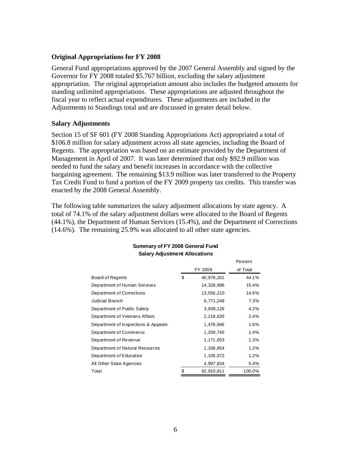#### **Original Appropriations for FY 2008**

General Fund appropriations approved by the 2007 General Assembly and signed by the Governor for FY 2008 totaled \$5.767 billion, excluding the salary adjustment appropriation. The original appropriation amount also includes the budgeted amounts for standing unlimited appropriations. These appropriations are adjusted throughout the fiscal year to reflect actual expenditures. These adjustments are included in the Adjustments to Standings total and are discussed in greater detail below.

#### **Salary Adjustments**

Section 15 of SF 601 (FY 2008 Standing Appropriations Act) appropriated a total of \$106.8 million for salary adjustment across all state agencies, including the Board of Regents. The appropriation was based on an estimate provided by the Department of Management in April of 2007. It was later determined that only \$92.9 million was needed to fund the salary and benefit increases in accordance with the collective bargaining agreement. The remaining \$13.9 million was later transferred to the Property Tax Credit Fund to fund a portion of the FY 2009 property tax credits. This transfer was enacted by the 2008 General Assembly.

The following table summarizes the salary adjustment allocations by state agency. A total of 74.1% of the salary adjustment dollars were allocated to the Board of Regents (44.1%), the Department of Human Services (15.4%), and the Department of Corrections (14.6%). The remaining 25.9% was allocated to all other state agencies.

|                                     |                  | Percent  |
|-------------------------------------|------------------|----------|
|                                     | FY 2008          | of Total |
| Board of Regents                    | \$<br>40,978,201 | 44.1%    |
| Department of Human Services        | 14,328,996       | 15.4%    |
| Department of Corrections           | 13,556,210       | 14.6%    |
| Judicial Branch                     | 6,771,248        | 7.3%     |
| Department of Public Safety         | 3,939,126        | 4.2%     |
| Department of Veterans Affairs      | 2,218,626        | 2.4%     |
| Department of Inspections & Appeals | 1,476,946        | 1.6%     |
| Department of Commerce              | 1,259,745        | 1.4%     |
| Department of Revenue               | 1,171,053        | 1.3%     |
| Department of Natural Resources     | 1,106,854        | 1.2%     |
| Department of Education             | 1,105,972        | 1.2%     |
| All Other State Agencies            | 4,997,834        | 5.4%     |
| Total                               | \$<br>92,910,811 | 100.0%   |

#### **Summary of FY 2008 General Fund Salary Adjustment Allocations**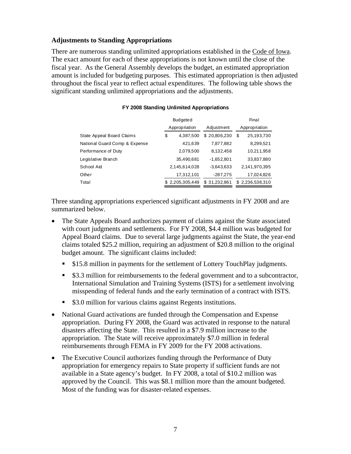#### **Adjustments to Standing Appropriations**

There are numerous standing unlimited appropriations established in the Code of Iowa. The exact amount for each of these appropriations is not known until the close of the fiscal year. As the General Assembly develops the budget, an estimated appropriation amount is included for budgeting purposes. This estimated appropriation is then adjusted throughout the fiscal year to reflect actual expenditures. The following table shows the significant standing unlimited appropriations and the adjustments.

|                               | <b>Budgeted</b> |              | Final           |  |  |  |
|-------------------------------|-----------------|--------------|-----------------|--|--|--|
|                               | Appropriation   | Adjustment   | Appropriation   |  |  |  |
| State Appeal Board Claims     | \$<br>4,387,500 | \$20,806,230 | 25,193,730<br>S |  |  |  |
| National Guard Comp & Expense | 421,639         | 7,877,882    | 8,299,521       |  |  |  |
| Performance of Duty           | 2,079,500       | 8,132,458    | 10,211,958      |  |  |  |
| Legislative Branch            | 35,490,681      | $-1,652,801$ | 33,837,880      |  |  |  |
| School Aid                    | 2,145,614,028   | $-3,643,633$ | 2,141,970,395   |  |  |  |
| Other                         | 17,312,101      | $-287,275$   | 17,024,826      |  |  |  |
| Total                         | \$2,205,305,449 | \$31,232,861 | \$2,236,538,310 |  |  |  |

#### **FY 2008 Standing Unlimited Appropriations**

Three standing appropriations experienced significant adjustments in FY 2008 and are summarized below.

- The State Appeals Board authorizes payment of claims against the State associated with court judgments and settlements. For FY 2008, \$4.4 million was budgeted for Appeal Board claims. Due to several large judgments against the State, the year-end claims totaled \$25.2 million, requiring an adjustment of \$20.8 million to the original budget amount. The significant claims included:
	- **\$15.8 million in payments for the settlement of Lottery TouchPlay judgments.**
	- \$3.3 million for reimbursements to the federal government and to a subcontractor, International Simulation and Training Systems (ISTS) for a settlement involving misspending of federal funds and the early termination of a contract with ISTS.
	- \$3.0 million for various claims against Regents institutions.
- National Guard activations are funded through the Compensation and Expense appropriation. During FY 2008, the Guard was activated in response to the natural disasters affecting the State. This resulted in a \$7.9 million increase to the appropriation. The State will receive approximately \$7.0 million in federal reimbursements through FEMA in FY 2009 for the FY 2008 activations.
- The Executive Council authorizes funding through the Performance of Duty appropriation for emergency repairs to State property if sufficient funds are not available in a State agency's budget. In FY 2008, a total of \$10.2 million was approved by the Council. This was \$8.1 million more than the amount budgeted. Most of the funding was for disaster-related expenses.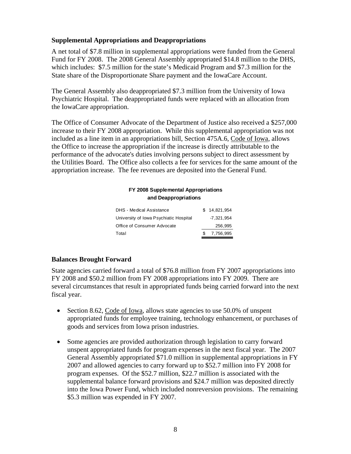### **Supplemental Appropriations and Deappropriations**

A net total of \$7.8 million in supplemental appropriations were funded from the General Fund for FY 2008. The 2008 General Assembly appropriated \$14.8 million to the DHS, which includes: \$7.5 million for the state's Medicaid Program and \$7.3 million for the State share of the Disproportionate Share payment and the IowaCare Account.

The General Assembly also deappropriated \$7.3 million from the University of Iowa Psychiatric Hospital. The deappropriated funds were replaced with an allocation from the IowaCare appropriation.

The Office of Consumer Advocate of the Department of Justice also received a \$257,000 increase to their FY 2008 appropriation. While this supplemental appropriation was not included as a line item in an appropriations bill, Section 475A.6, Code of Iowa, allows the Office to increase the appropriation if the increase is directly attributable to the performance of the advocate's duties involving persons subject to direct assessment by the Utilities Board. The Office also collects a fee for services for the same amount of the appropriation increase. The fee revenues are deposited into the General Fund.

### **FY 2008 Supplemental Appropriations and Deappropriations**

| <b>DHS</b> - Medical Assistance        |    | \$14,821,954 |
|----------------------------------------|----|--------------|
| University of Iowa Psychiatic Hospital |    | -7.321.954   |
| Office of Consumer Advocate            |    | 256.995      |
| Total                                  | £. | 7,756,995    |

### **Balances Brought Forward**

State agencies carried forward a total of \$76.8 million from FY 2007 appropriations into FY 2008 and \$50.2 million from FY 2008 appropriations into FY 2009. There are several circumstances that result in appropriated funds being carried forward into the next fiscal year.

- Section 8.62, Code of Iowa, allows state agencies to use 50.0% of unspent appropriated funds for employee training, technology enhancement, or purchases of goods and services from Iowa prison industries.
- Some agencies are provided authorization through legislation to carry forward unspent appropriated funds for program expenses in the next fiscal year. The 2007 General Assembly appropriated \$71.0 million in supplemental appropriations in FY 2007 and allowed agencies to carry forward up to \$52.7 million into FY 2008 for program expenses. Of the \$52.7 million, \$22.7 million is associated with the supplemental balance forward provisions and \$24.7 million was deposited directly into the Iowa Power Fund, which included nonreversion provisions. The remaining \$5.3 million was expended in FY 2007.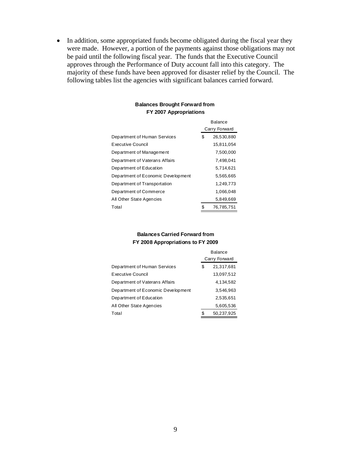• In addition, some appropriated funds become obligated during the fiscal year they were made. However, a portion of the payments against those obligations may not be paid until the following fiscal year. The funds that the Executive Council approves through the Performance of Duty account fall into this category. The majority of these funds have been approved for disaster relief by the Council. The following tables list the agencies with significant balances carried forward.

| <b>Balances Brought Forward from</b> |
|--------------------------------------|
| FY 2007 Appropriations               |

|                                    |    | <b>Balance</b> |
|------------------------------------|----|----------------|
|                                    |    | Carry Forward  |
| Department of Human Services       | \$ | 26,530,880     |
| Executive Council                  |    | 15,811,054     |
| Department of Management           |    | 7,500,000      |
| Department of Vaterans Affairs     |    | 7,498,041      |
| Department of Education            |    | 5,714,621      |
| Department of Economic Development |    | 5,565,665      |
| Department of Transportation       |    | 1,249,773      |
| Department of Commerce             |    | 1,066,048      |
| All Other State Agencies           |    | 5,849,669      |
| Total                              | S  | 76,785,751     |

#### **Balances Carried Forward from FY 2008 Appropriations to FY 2009**

|                                    |    | <b>Balance</b><br>Carry Forward |
|------------------------------------|----|---------------------------------|
| Department of Human Services       | S  | 21,317,681                      |
| Executive Council                  |    | 13,097,512                      |
| Department of Vaterans Affairs     |    | 4,134,582                       |
| Department of Economic Development |    | 3,546,963                       |
| Department of Education            |    | 2,535,651                       |
| All Other State Agencies           |    | 5,605,536                       |
| Total                              | \$ | 50,237,925                      |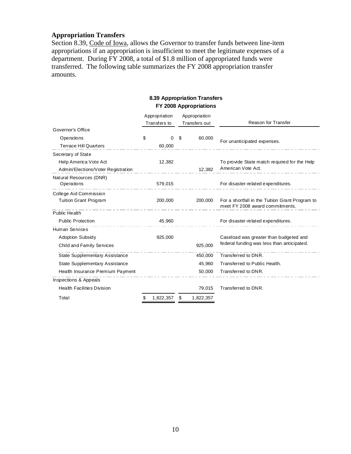### **Appropriation Transfers**

Section 8.39, Code of Iowa, allows the Governor to transfer funds between line-item appropriations if an appropriation is insufficient to meet the legitimate expenses of a department. During FY 2008, a total of \$1.8 million of appropriated funds were transferred. The following table summarizes the FY 2008 appropriation transfer amounts.

### **8.39 Appropriation Transfers FY 2008 Appropriations**

|                                    | Appropriation<br>Transfers to | Appropriation<br>Transfers out | Reason for Transfer                                                                |
|------------------------------------|-------------------------------|--------------------------------|------------------------------------------------------------------------------------|
| Governor's Office                  |                               |                                |                                                                                    |
| Operations                         | \$<br>0                       | \$<br>60,000                   | For unanticipated expenses.                                                        |
| <b>Terrace Hill Quarters</b>       | 60,000                        |                                |                                                                                    |
| Secretary of State                 |                               |                                |                                                                                    |
| Help America Vote Act              | 12,382                        |                                | To provide State match required for the Help                                       |
| Admin/Elections/Voter Registration |                               | 12,382                         | American Vote Act.                                                                 |
| Natural Resources (DNR)            |                               |                                |                                                                                    |
| Operations                         | 579,015                       |                                | For disaster-related expenditures.                                                 |
| College Aid Commission             |                               |                                |                                                                                    |
| <b>Tuition Grant Program</b>       | 200,000                       | 200,000                        | For a shortfall in the Tuition Grant Program to<br>meet FY 2008 award commitments. |
| Public Health                      |                               |                                |                                                                                    |
| <b>Public Protection</b>           | 45,960                        |                                | For disaster-related expenditures.                                                 |
| <b>Human Services</b>              |                               |                                |                                                                                    |
| <b>Adoption Subsidy</b>            | 925,000                       |                                | Caseload was greater than budgeted and                                             |
| Child and Family Services          |                               | 925,000                        | federal funding was less than anticipated.                                         |
| State Supplementary Assistance     |                               | 450,000                        | Transferred to DNR.                                                                |
| State Supplementary Assistance     |                               | 45,960                         | Transferred to Public Health.                                                      |
| Health Insurance Premium Payment   |                               | 50,000                         | Transferred to DNR.                                                                |
| Inspections & Appeals              |                               |                                |                                                                                    |
| <b>Health Facilities Division</b>  |                               | 79,015                         | Transferred to DNR.                                                                |
| Total                              | \$<br>1,822,357               | \$<br>1,822,357                |                                                                                    |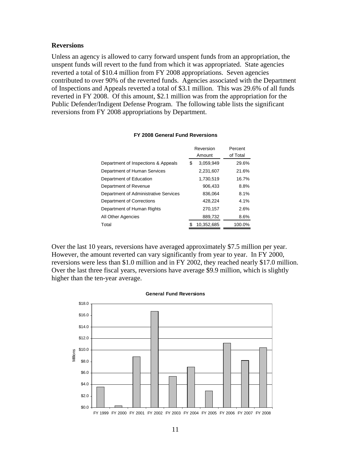#### **Reversions**

Unless an agency is allowed to carry forward unspent funds from an appropriation, the unspent funds will revert to the fund from which it was appropriated. State agencies reverted a total of \$10.4 million from FY 2008 appropriations. Seven agencies contributed to over 90% of the reverted funds. Agencies associated with the Department of Inspections and Appeals reverted a total of \$3.1 million. This was 29.6% of all funds reverted in FY 2008. Of this amount, \$2.1 million was from the appropriation for the Public Defender/Indigent Defense Program. The following table lists the significant reversions from FY 2008 appropriations by Department.

|                                       |   | Reversion<br>Amount | Percent<br>of Total |
|---------------------------------------|---|---------------------|---------------------|
| Department of Inspections & Appeals   | S | 3.059.949           | 29.6%               |
| Department of Human Services          |   | 2,231,607           | 21.6%               |
| Department of Education               |   | 1.730.519           | 16.7%               |
| Department of Revenue                 |   | 906.433             | 8.8%                |
| Department of Administrative Services |   | 836.064             | 8.1%                |
| Department of Corrections             |   | 428.224             | 4.1%                |
| Department of Human Rights            |   | 270,157             | 2.6%                |
| All Other Agencies                    |   | 889,732             | 8.6%                |
| Total                                 |   | 10,352,685          | 100.0%              |

#### **FY 2008 General Fund Reversions**

Over the last 10 years, reversions have averaged approximately \$7.5 million per year. However, the amount reverted can vary significantly from year to year. In FY 2000, reversions were less than \$1.0 million and in FY 2002, they reached nearly \$17.0 million. Over the last three fiscal years, reversions have average \$9.9 million, which is slightly higher than the ten-year average.



#### **General Fund Reversions**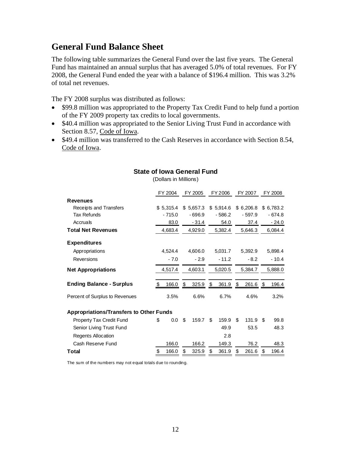## **General Fund Balance Sheet**

The following table summarizes the General Fund over the last five years. The General Fund has maintained an annual surplus that has averaged 5.0% of total revenues. For FY 2008, the General Fund ended the year with a balance of \$196.4 million. This was 3.2% of total net revenues.

The FY 2008 surplus was distributed as follows:

- \$99.8 million was appropriated to the Property Tax Credit Fund to help fund a portion of the FY 2009 property tax credits to local governments.
- \$40.4 million was appropriated to the Senior Living Trust Fund in accordance with Section 8.57, Code of Iowa.
- \$49.4 million was transferred to the Cash Reserves in accordance with Section 8.54, Code of Iowa.

|                                                | FY 2004 |           | FY 2005 |          | FY 2006 |          | FY 2007 |           |         | FY 2008  |
|------------------------------------------------|---------|-----------|---------|----------|---------|----------|---------|-----------|---------|----------|
| Revenues                                       |         |           |         |          |         |          |         |           |         |          |
| Receipts and Transfers                         |         | \$5.315.4 | \$      | 5.657.3  | \$      | 5.914.6  |         | \$6.206.8 | \$      | 6,783.2  |
| <b>Tax Refunds</b>                             |         | $-715.0$  |         | $-696.9$ |         | $-586.2$ |         | $-597.9$  |         | $-674.8$ |
| Accruals                                       |         | 83.0      |         | $-31.4$  |         | 54.0     |         | 37.4      |         | $-24.0$  |
| <b>Total Net Revenues</b>                      |         | 4,683.4   |         | 4,929.0  |         | 5,382.4  |         | 5,646.3   |         | 6,084.4  |
| <b>Expenditures</b>                            |         |           |         |          |         |          |         |           |         |          |
| Appropriations                                 |         | 4,524.4   |         | 4,606.0  |         | 5,031.7  |         | 5,392.9   |         | 5,898.4  |
| Reversions                                     | $-7.0$  |           | $-2.9$  |          | $-11.2$ |          | $-8.2$  |           | $-10.4$ |          |
| <b>Net Appropriations</b>                      | 4,517.4 |           | 4,603.1 |          | 5,020.5 |          | 5,384.7 |           |         | 5,888.0  |
| <b>Ending Balance - Surplus</b>                | S       | 166.0     | S       | 325.9    | S       | 361.9    | \$      | 261.6     |         | 196.4    |
| Percent of Surplus to Revenues                 |         | 3.5%      |         | 6.6%     |         | 6.7%     |         | 4.6%      |         | 3.2%     |
| <b>Appropriations/Transfers to Other Funds</b> |         |           |         |          |         |          |         |           |         |          |
| Property Tax Credit Fund                       | \$      | 0.0       | \$      | 159.7    | \$      | 159.9    | \$      | 131.9     | \$      | 99.8     |
| Senior Living Trust Fund                       |         |           |         |          |         | 49.9     |         | 53.5      |         | 48.3     |
| Regents Allocation                             |         |           |         |          |         | 2.8      |         |           |         |          |
| Cash Reserve Fund                              |         | 166.0     |         | 166.2    |         | 149.3    |         | 76.2      |         | 48.3     |
| Total                                          | \$      | 166.0     | \$      | 325.9    | S       | 361.9    | \$      | 261.6     | S       | 196.4    |

### **State of Iowa General Fund**

(Dollars in Millions)

The sum of the numbers may not equal totals due to rounding.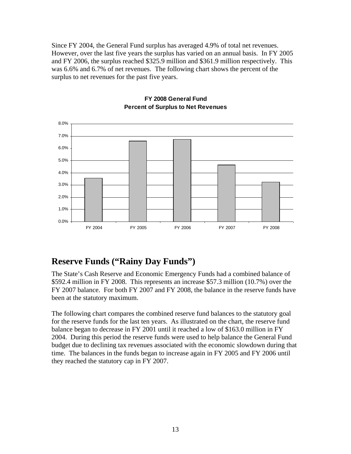Since FY 2004, the General Fund surplus has averaged 4.9% of total net revenues. However, over the last five years the surplus has varied on an annual basis. In FY 2005 and FY 2006, the surplus reached \$325.9 million and \$361.9 million respectively. This was 6.6% and 6.7% of net revenues. The following chart shows the percent of the surplus to net revenues for the past five years.



### **FY 2008 General Fund Percent of Surplus to Net Revenues**

## **Reserve Funds ("Rainy Day Funds")**

The State's Cash Reserve and Economic Emergency Funds had a combined balance of \$592.4 million in FY 2008. This represents an increase \$57.3 million (10.7%) over the FY 2007 balance. For both FY 2007 and FY 2008, the balance in the reserve funds have been at the statutory maximum.

The following chart compares the combined reserve fund balances to the statutory goal for the reserve funds for the last ten years. As illustrated on the chart, the reserve fund balance began to decrease in FY 2001 until it reached a low of \$163.0 million in FY 2004. During this period the reserve funds were used to help balance the General Fund budget due to declining tax revenues associated with the economic slowdown during that time. The balances in the funds began to increase again in FY 2005 and FY 2006 until they reached the statutory cap in FY 2007.